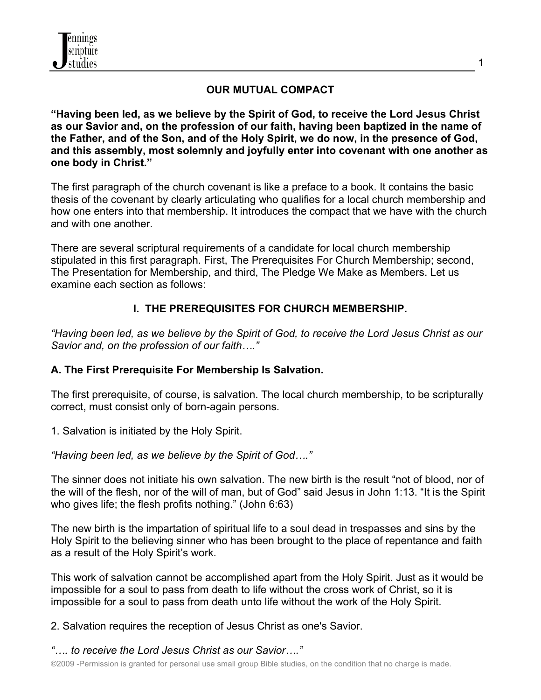

## **OUR MUTUAL COMPACT**

**"Having been led, as we believe by the Spirit of God, to receive the Lord Jesus Christ as our Savior and, on the profession of our faith, having been baptized in the name of the Father, and of the Son, and of the Holy Spirit, we do now, in the presence of God, and this assembly, most solemnly and joyfully enter into covenant with one another as one body in Christ."**

The first paragraph of the church covenant is like a preface to a book. It contains the basic thesis of the covenant by clearly articulating who qualifies for a local church membership and how one enters into that membership. It introduces the compact that we have with the church and with one another.

There are several scriptural requirements of a candidate for local church membership stipulated in this first paragraph. First, The Prerequisites For Church Membership; second, The Presentation for Membership, and third, The Pledge We Make as Members. Let us examine each section as follows:

## **I. THE PREREQUISITES FOR CHURCH MEMBERSHIP.**

*"Having been led, as we believe by the Spirit of God, to receive the Lord Jesus Christ as our Savior and, on the profession of our faith…."*

### **A. The First Prerequisite For Membership Is Salvation.**

The first prerequisite, of course, is salvation. The local church membership, to be scripturally correct, must consist only of born-again persons.

1. Salvation is initiated by the Holy Spirit.

*"Having been led, as we believe by the Spirit of God…."*

The sinner does not initiate his own salvation. The new birth is the result "not of blood, nor of the will of the flesh, nor of the will of man, but of God" said Jesus in John 1:13. "It is the Spirit who gives life; the flesh profits nothing." (John 6:63)

The new birth is the impartation of spiritual life to a soul dead in trespasses and sins by the Holy Spirit to the believing sinner who has been brought to the place of repentance and faith as a result of the Holy Spirit's work.

This work of salvation cannot be accomplished apart from the Holy Spirit. Just as it would be impossible for a soul to pass from death to life without the cross work of Christ, so it is impossible for a soul to pass from death unto life without the work of the Holy Spirit.

2. Salvation requires the reception of Jesus Christ as one's Savior.

*"…. to receive the Lord Jesus Christ as our Savior…."*

©2009 -Permission is granted for personal use small group Bible studies, on the condition that no charge is made.

1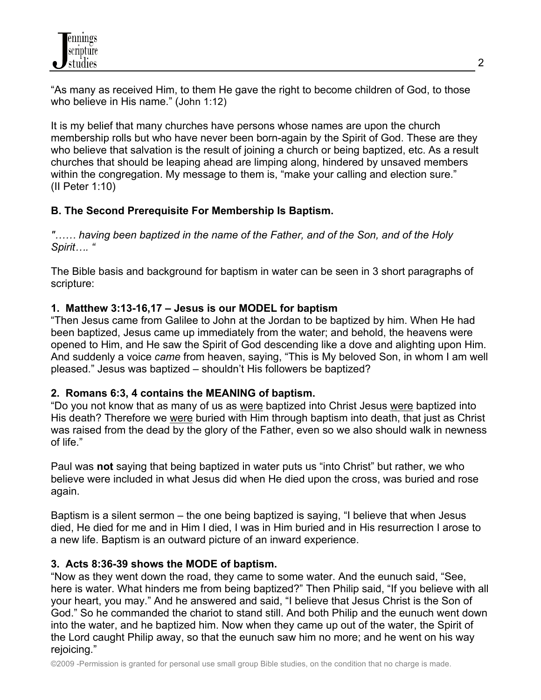"As many as received Him, to them He gave the right to become children of God, to those who believe in His name." (John 1:12)

It is my belief that many churches have persons whose names are upon the church membership rolls but who have never been born-again by the Spirit of God. These are they who believe that salvation is the result of joining a church or being baptized, etc. As a result churches that should be leaping ahead are limping along, hindered by unsaved members within the congregation. My message to them is, "make your calling and election sure." (II Peter 1:10)

## **B. The Second Prerequisite For Membership Is Baptism.**

*"…… having been baptized in the name of the Father, and of the Son, and of the Holy Spirit…. "*

The Bible basis and background for baptism in water can be seen in 3 short paragraphs of scripture:

## **1. Matthew 3:13-16,17 – Jesus is our MODEL for baptism**

"Then Jesus came from Galilee to John at the Jordan to be baptized by him. When He had been baptized, Jesus came up immediately from the water; and behold, the heavens were opened to Him, and He saw the Spirit of God descending like a dove and alighting upon Him. And suddenly a voice *came* from heaven, saying, "This is My beloved Son, in whom I am well pleased." Jesus was baptized – shouldn't His followers be baptized?

## **2. Romans 6:3, 4 contains the MEANING of baptism.**

"Do you not know that as many of us as were baptized into Christ Jesus were baptized into His death? Therefore we were buried with Him through baptism into death, that just as Christ was raised from the dead by the glory of the Father, even so we also should walk in newness of life."

Paul was **not** saying that being baptized in water puts us "into Christ" but rather, we who believe were included in what Jesus did when He died upon the cross, was buried and rose again.

Baptism is a silent sermon – the one being baptized is saying, "I believe that when Jesus died, He died for me and in Him I died, I was in Him buried and in His resurrection I arose to a new life. Baptism is an outward picture of an inward experience.

## **3. Acts 8:36-39 shows the MODE of baptism.**

"Now as they went down the road, they came to some water. And the eunuch said, "See, here is water. What hinders me from being baptized?" Then Philip said, "If you believe with all your heart, you may." And he answered and said, "I believe that Jesus Christ is the Son of God." So he commanded the chariot to stand still. And both Philip and the eunuch went down into the water, and he baptized him. Now when they came up out of the water, the Spirit of the Lord caught Philip away, so that the eunuch saw him no more; and he went on his way rejoicing."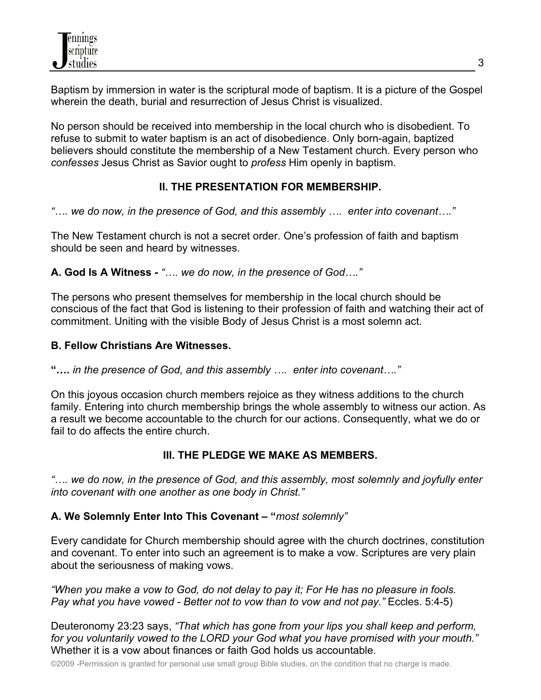Baptism by immersion in water is the scriptural mode of baptism. It is a picture of the Gospel wherein the death, burial and resurrection of Jesus Christ is visualized.

No person should be received into membership in the local church who is disobedient. To refuse to submit to water baptism is an act of disobedience. Only born-again, baptized believers should constitute the membership of a New Testament church. Every person who *confesses* Jesus Christ as Savior ought to *profess* Him openly in baptism.

# **II. THE PRESENTATION FOR MEMBERSHIP.**

*"…. we do now, in the presence of God, and this assembly …. enter into covenant…."*

The New Testament church is not a secret order. One's profession of faith and baptism should be seen and heard by witnesses.

**A. God Is A Witness -** *"…. we do now, in the presence of God…."*

The persons who present themselves for membership in the local church should be conscious of the fact that God is listening to their profession of faith and watching their act of commitment. Uniting with the visible Body of Jesus Christ is a most solemn act.

## **B. Fellow Christians Are Witnesses.**

**"….** *in the presence of God, and this assembly …. enter into covenant…."*

On this joyous occasion church members rejoice as they witness additions to the church family. Entering into church membership brings the whole assembly to witness our action. As a result we become accountable to the church for our actions. Consequently, what we do or fail to do affects the entire church.

## **III. THE PLEDGE WE MAKE AS MEMBERS.**

*"…. we do now, in the presence of God, and this assembly, most solemnly and joyfully enter into covenant with one another as one body in Christ."*

## **A. We Solemnly Enter Into This Covenant – "***most solemnly"*

Every candidate for Church membership should agree with the church doctrines, constitution and covenant. To enter into such an agreement is to make a vow. Scriptures are very plain about the seriousness of making vows.

*"When you make a vow to God, do not delay to pay it; For He has no pleasure in fools. Pay what you have vowed - Better not to vow than to vow and not pay."* Eccles. 5:4-5)

Deuteronomy 23:23 says, *"That which has gone from your lips you shall keep and perform, for you voluntarily vowed to the LORD your God what you have promised with your mouth."* Whether it is a vow about finances or faith God holds us accountable.